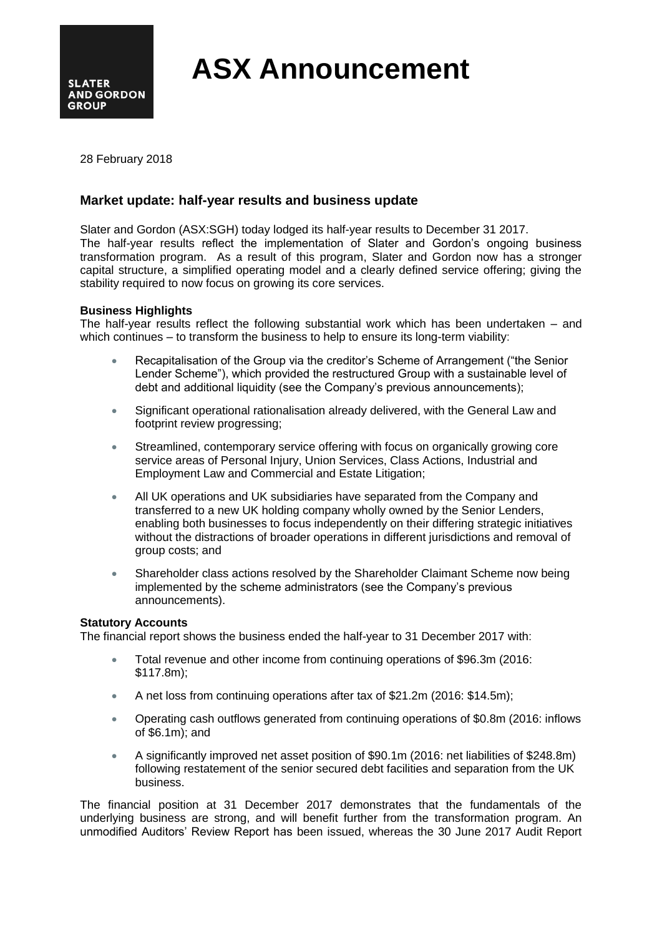

**ASX Announcement**

28 February 2018

# **Market update: half-year results and business update**

Slater and Gordon (ASX:SGH) today lodged its half-year results to December 31 2017. The half-year results reflect the implementation of Slater and Gordon's ongoing business transformation program. As a result of this program, Slater and Gordon now has a stronger capital structure, a simplified operating model and a clearly defined service offering; giving the stability required to now focus on growing its core services.

## **Business Highlights**

The half-year results reflect the following substantial work which has been undertaken – and which continues – to transform the business to help to ensure its long-term viability:

- Recapitalisation of the Group via the creditor's Scheme of Arrangement ("the Senior Lender Scheme"), which provided the restructured Group with a sustainable level of debt and additional liquidity (see the Company's previous announcements);
- Significant operational rationalisation already delivered, with the General Law and footprint review progressing:
- Streamlined, contemporary service offering with focus on organically growing core service areas of Personal Injury, Union Services, Class Actions, Industrial and Employment Law and Commercial and Estate Litigation;
- All UK operations and UK subsidiaries have separated from the Company and transferred to a new UK holding company wholly owned by the Senior Lenders, enabling both businesses to focus independently on their differing strategic initiatives without the distractions of broader operations in different jurisdictions and removal of group costs; and
- Shareholder class actions resolved by the Shareholder Claimant Scheme now being implemented by the scheme administrators (see the Company's previous announcements).

### **Statutory Accounts**

The financial report shows the business ended the half-year to 31 December 2017 with:

- Total revenue and other income from continuing operations of \$96.3m (2016: \$117.8m);
- A net loss from continuing operations after tax of \$21.2m (2016: \$14.5m);
- Operating cash outflows generated from continuing operations of \$0.8m (2016: inflows of \$6.1m); and
- A significantly improved net asset position of \$90.1m (2016: net liabilities of \$248.8m) following restatement of the senior secured debt facilities and separation from the UK business.

The financial position at 31 December 2017 demonstrates that the fundamentals of the underlying business are strong, and will benefit further from the transformation program. An unmodified Auditors' Review Report has been issued, whereas the 30 June 2017 Audit Report